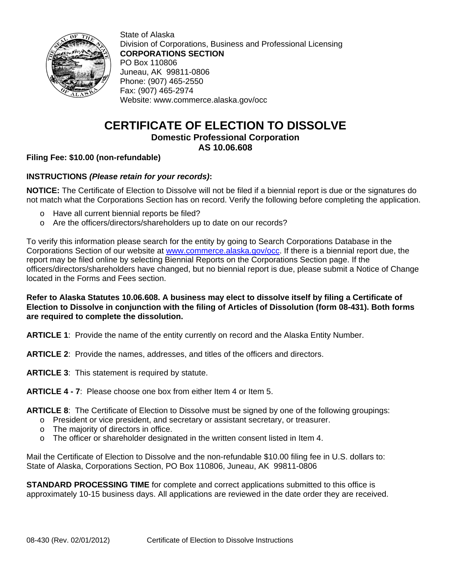

State of Alaska Division of Corporations, Business and Professional Licensing **CORPORATIONS SECTION**  PO Box 110806 Juneau, AK 99811-0806 Phone: (907) 465-2550 Fax: (907) 465-2974 Website: www.commerce.alaska.gov/occ

# **CERTIFICATE OF ELECTION TO DISSOLVE Domestic Professional Corporation**

# **AS 10.06.608**

### **Filing Fee: \$10.00 (non-refundable)**

### **INSTRUCTIONS** *(Please retain for your records)***:**

**NOTICE:** The Certificate of Election to Dissolve will not be filed if a biennial report is due or the signatures do not match what the Corporations Section has on record. Verify the following before completing the application.

- o Have all current biennial reports be filed?
- o Are the officers/directors/shareholders up to date on our records?

To verify this information please search for the entity by going to Search Corporations Database in the Corporations Section of our website at www.commerce.alaska.gov/occ. If there is a biennial report due, the report may be filed online by selecting Biennial Reports on the Corporations Section page. If the officers/directors/shareholders have changed, but no biennial report is due, please submit a Notice of Change located in the Forms and Fees section.

#### **Refer to Alaska Statutes 10.06.608. A business may elect to dissolve itself by filing a Certificate of Election to Dissolve in conjunction with the filing of Articles of Dissolution (form 08-431). Both forms are required to complete the dissolution.**

**ARTICLE 1**: Provide the name of the entity currently on record and the Alaska Entity Number.

**ARTICLE 2**: Provide the names, addresses, and titles of the officers and directors.

**ARTICLE 3**: This statement is required by statute.

**ARTICLE 4 - 7**: Please choose one box from either Item 4 or Item 5.

**ARTICLE 8**: The Certificate of Election to Dissolve must be signed by one of the following groupings:

- o President or vice president, and secretary or assistant secretary, or treasurer.
- o The majority of directors in office.
- $\circ$  The officer or shareholder designated in the written consent listed in Item 4.

Mail the Certificate of Election to Dissolve and the non-refundable \$10.00 filing fee in U.S. dollars to: State of Alaska, Corporations Section, PO Box 110806, Juneau, AK 99811-0806

**STANDARD PROCESSING TIME** for complete and correct applications submitted to this office is approximately 10-15 business days. All applications are reviewed in the date order they are received.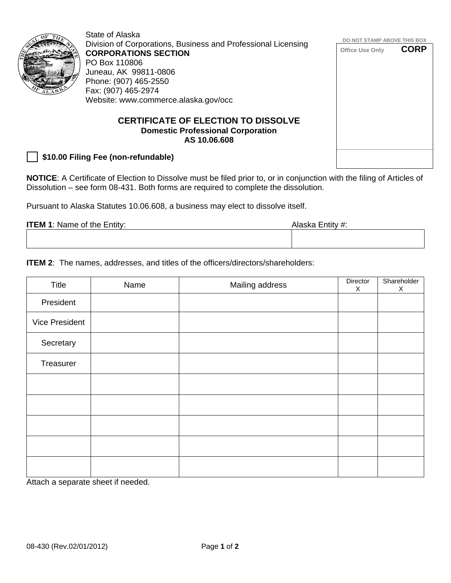

State of Alaska Division of Corporations, Business and Professional Licensing **CORPORATIONS SECTION**  PO Box 110806 Juneau, AK 99811-0806 Phone: (907) 465-2550 Fax: (907) 465-2974 Website: www.commerce.alaska.gov/occ

#### **CERTIFICATE OF ELECTION TO DISSOLVE Domestic Professional Corporation AS 10.06.608**

 **\$10.00 Filing Fee (non-refundable)**

**NOTICE**: A Certificate of Election to Dissolve must be filed prior to, or in conjunction with the filing of Articles of Dissolution – see form 08-431. Both forms are required to complete the dissolution.

Pursuant to Alaska Statutes 10.06.608, a business may elect to dissolve itself.

| <b>ITEM 1: Name of the Entity:</b> | Alaska Entity #: |
|------------------------------------|------------------|
|                                    |                  |
|                                    |                  |

**ITEM 2:** The names, addresses, and titles of the officers/directors/shareholders:

| Title                 | Name | Mailing address | Director<br>X | Shareholder<br>$\mathsf{X}$ |
|-----------------------|------|-----------------|---------------|-----------------------------|
| President             |      |                 |               |                             |
| <b>Vice President</b> |      |                 |               |                             |
| Secretary             |      |                 |               |                             |
| Treasurer             |      |                 |               |                             |
|                       |      |                 |               |                             |
|                       |      |                 |               |                             |
|                       |      |                 |               |                             |
|                       |      |                 |               |                             |
|                       |      |                 |               |                             |

Attach a separate sheet if needed.

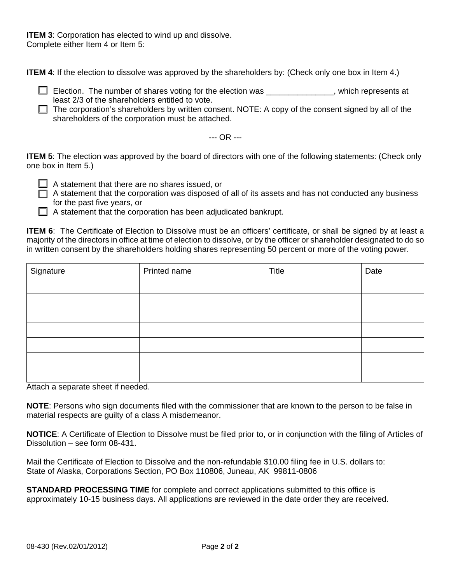**ITEM 3: Corporation has elected to wind up and dissolve.** Complete either Item 4 or Item 5:

**ITEM 4**: If the election to dissolve was approved by the shareholders by: (Check only one box in Item 4.)

 $\Box$  Election. The number of shares voting for the election was  $\Box$ , which represents at least 2/3 of the shareholders entitled to vote.

 $\Box$  The corporation's shareholders by written consent. NOTE: A copy of the consent signed by all of the shareholders of the corporation must be attached.

--- OR ---

**ITEM 5**: The election was approved by the board of directors with one of the following statements: (Check only one box in Item 5.)

 $\Box$  A statement that there are no shares issued, or

 $\Box$  A statement that the corporation was disposed of all of its assets and has not conducted any business for the past five years, or

 $\Box$  A statement that the corporation has been adjudicated bankrupt.

**ITEM 6**: The Certificate of Election to Dissolve must be an officers' certificate, or shall be signed by at least a majority of the directors in office at time of election to dissolve, or by the officer or shareholder designated to do so in written consent by the shareholders holding shares representing 50 percent or more of the voting power.

| Signature | Printed name | Title | Date |
|-----------|--------------|-------|------|
|           |              |       |      |
|           |              |       |      |
|           |              |       |      |
|           |              |       |      |
|           |              |       |      |
|           |              |       |      |
|           |              |       |      |

Attach a separate sheet if needed.

**NOTE**: Persons who sign documents filed with the commissioner that are known to the person to be false in material respects are guilty of a class A misdemeanor.

**NOTICE**: A Certificate of Election to Dissolve must be filed prior to, or in conjunction with the filing of Articles of Dissolution – see form 08-431.

Mail the Certificate of Election to Dissolve and the non-refundable \$10.00 filing fee in U.S. dollars to: State of Alaska, Corporations Section, PO Box 110806, Juneau, AK 99811-0806

**STANDARD PROCESSING TIME** for complete and correct applications submitted to this office is approximately 10-15 business days. All applications are reviewed in the date order they are received.